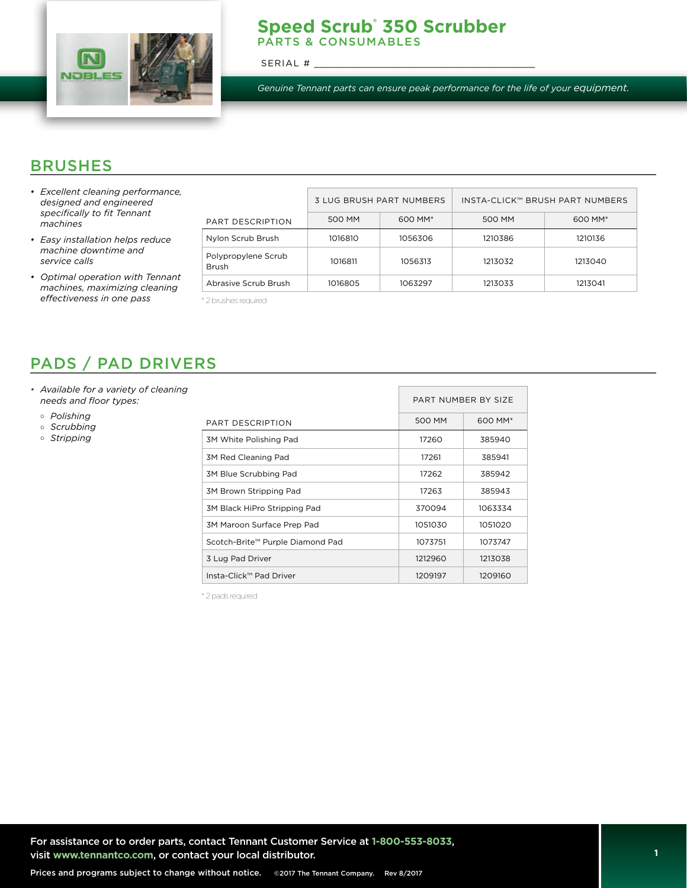

#### **Speed Scrub® 350 Scrubber**  PARTS & CONSUMABLES

SERIAL #

*Genuine Tennant parts can ensure peak performance for the life of your equipment.*

## BRUSHES

- *• Excellent cleaning performance, designed and engineered specifically to fit Tennant machines*
- *• Easy installation helps reduce machine downtime and service calls*
- *• Optimal operation with Tennant machines, maximizing cleaning effectiveness in one pass*

|                                     | <b>3 LUG BRUSH PART NUMBERS</b> |                     | INSTA-CLICK™ BRUSH PART NUMBERS |                     |  |
|-------------------------------------|---------------------------------|---------------------|---------------------------------|---------------------|--|
| PART DESCRIPTION                    | 500 MM                          | 600 MM <sup>*</sup> | 500 MM                          | 600 MM <sup>*</sup> |  |
| Nylon Scrub Brush                   | 1016810                         | 1056306             | 1210386                         | 1210136             |  |
| Polypropylene Scrub<br><b>Brush</b> | 1016811                         | 1056313             | 1213032                         | 1213040             |  |
| Abrasive Scrub Brush                | 1016805                         | 1063297             | 1213033                         | 1213041             |  |

\* 2 brushes required

# PADS / PAD DRIVERS

- *• Available for a variety of cleaning needs and floor types:*
	- *Polishing*
	- *Scrubbing*
	- *Stripping*

|                                  | PART NUMBER BY SIZE |                     |
|----------------------------------|---------------------|---------------------|
| PART DESCRIPTION                 | 500 MM              | 600 MM <sup>*</sup> |
| 3M White Polishing Pad           | 17260               | 385940              |
| 3M Red Cleaning Pad              | 17261               | 385941              |
| 3M Blue Scrubbing Pad            | 17262               | 385942              |
| 3M Brown Stripping Pad           | 17263               | 385943              |
| 3M Black HiPro Stripping Pad     | 370094              | 1063334             |
| 3M Maroon Surface Prep Pad       | 1051030             | 1051020             |
| Scotch-Brite™ Purple Diamond Pad | 1073751             | 1073747             |
| 3 Lug Pad Driver                 | 1212960             | 1213038             |
| Insta-Click™ Pad Driver          | 1209197             | 1209160             |

\* 2 pads required

For assistance or to order parts, contact Tennant Customer Service at **1-800-553-8033**, visit **www.tennantco.com**, or contact your local distributor.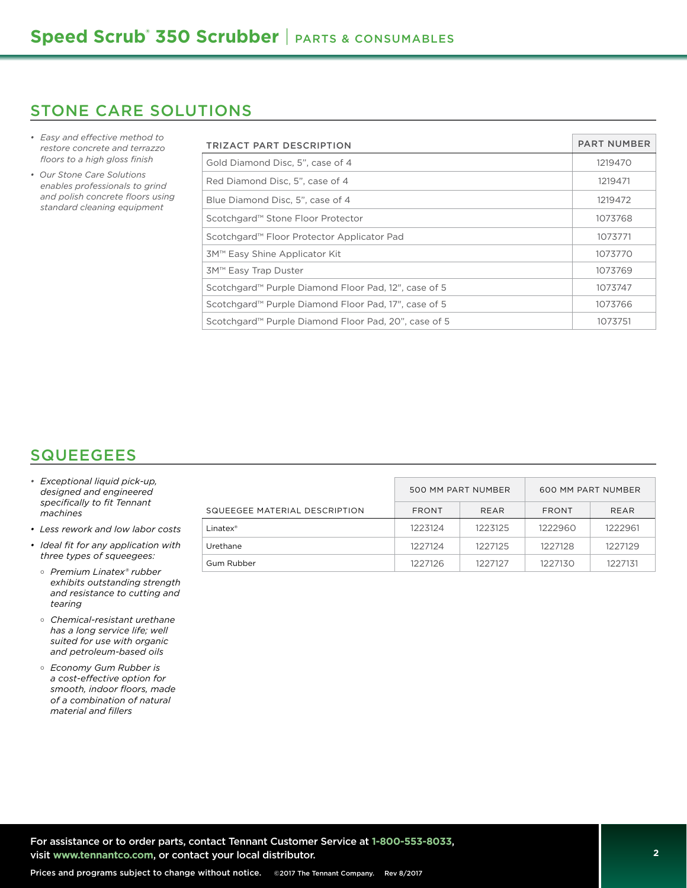#### STONE CARE SOLUTIONS

- *• Easy and effective method to restore concrete and terrazzo floors to a high gloss finish*
- *Our Stone Care Solutions enables professionals to grind and polish concrete floors using standard cleaning equipment*

| TRIZACT PART DESCRIPTION                                         | <b>PART NUMBER</b> |
|------------------------------------------------------------------|--------------------|
| Gold Diamond Disc. 5", case of 4                                 | 1219470            |
| Red Diamond Disc, 5", case of 4                                  | 1219471            |
| Blue Diamond Disc, 5", case of 4                                 | 1219472            |
| Scotchgard <sup>™</sup> Stone Floor Protector                    | 1073768            |
| Scotchgard™ Floor Protector Applicator Pad                       | 1073771            |
| 3M™ Easy Shine Applicator Kit                                    | 1073770            |
| 3M™ Easy Trap Duster                                             | 1073769            |
| Scotchgard <sup>™</sup> Purple Diamond Floor Pad, 12", case of 5 | 1073747            |
| Scotchgard <sup>™</sup> Purple Diamond Floor Pad, 17", case of 5 | 1073766            |
| Scotchgard <sup>™</sup> Purple Diamond Floor Pad, 20", case of 5 | 1073751            |

## **SQUEEGEES**

- *• Exceptional liquid pick-up, designed and engineered specifically to fit Tennant machines*
- *Less rework and low labor costs*
- *• Ideal fit for any application with three types of squeegees:*
	- *Premium Linatex® rubber exhibits outstanding strength and resistance to cutting and tearing*
	- *Chemical-resistant urethane has a long service life; well suited for use with organic and petroleum-based oils*
	- *Economy Gum Rubber is a cost-effective option for smooth, indoor floors, made of a combination of natural material and fillers*

|                               | 500 MM PART NUMBER |             | 600 MM PART NUMBER |             |
|-------------------------------|--------------------|-------------|--------------------|-------------|
| SQUEEGEE MATERIAL DESCRIPTION | <b>FRONT</b>       | <b>REAR</b> | <b>FRONT</b>       | <b>REAR</b> |
| $L$ inatex $^*$               | 1223124            | 1223125     | 1222960            | 1222961     |
| Urethane                      | 1227124            | 1227125     | 1227128            | 1227129     |
| Gum Rubber                    | 1227126            | 1227127     | 1227130            | 1227131     |

For assistance or to order parts, contact Tennant Customer Service at **1-800-553-8033**, visit **www.tennantco.com**, or contact your local distributor.